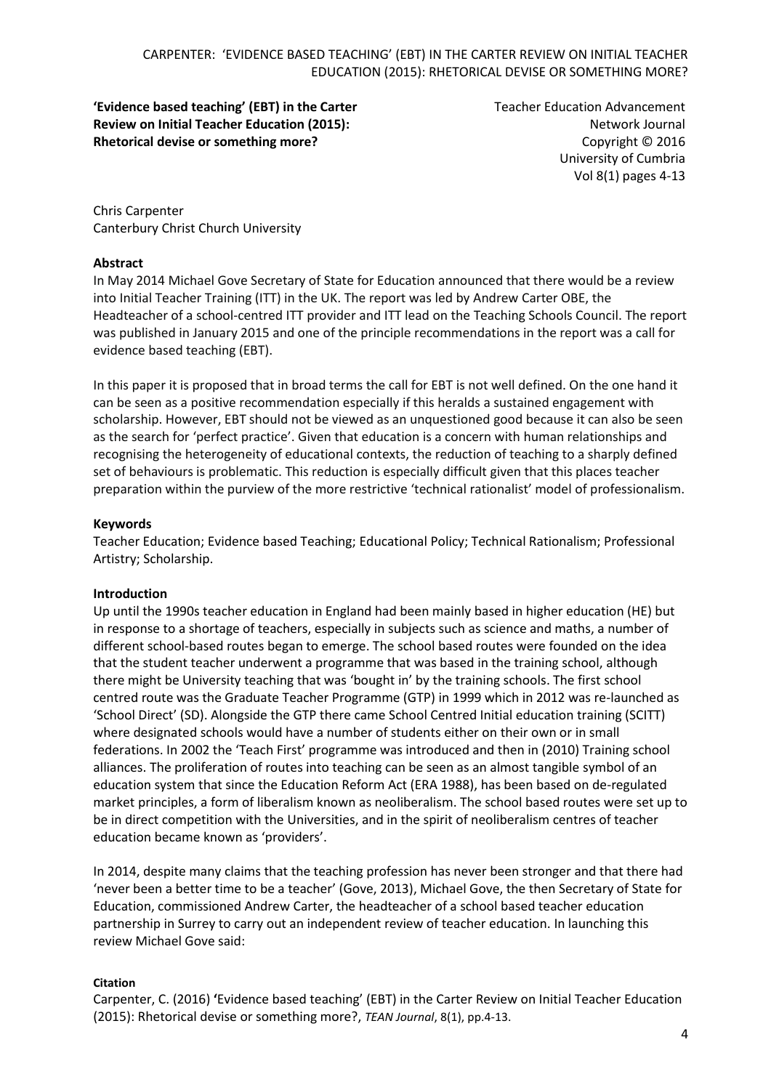**'Evidence based teaching' (EBT) in the Carter Review on Initial Teacher Education (2015): Rhetorical devise or something more?**

Teacher Education Advancement Network Journal Copyright © 2016 University of Cumbria Vol 8(1) pages 4-13

Chris Carpenter Canterbury Christ Church University

#### **Abstract**

In May 2014 Michael Gove Secretary of State for Education announced that there would be a review into Initial Teacher Training (ITT) in the UK. The report was led by Andrew Carter OBE, the Headteacher of a school-centred ITT provider and ITT lead on the Teaching Schools Council. The report was published in January 2015 and one of the principle recommendations in the report was a call for evidence based teaching (EBT).

In this paper it is proposed that in broad terms the call for EBT is not well defined. On the one hand it can be seen as a positive recommendation especially if this heralds a sustained engagement with scholarship. However, EBT should not be viewed as an unquestioned good because it can also be seen as the search for 'perfect practice'. Given that education is a concern with human relationships and recognising the heterogeneity of educational contexts, the reduction of teaching to a sharply defined set of behaviours is problematic. This reduction is especially difficult given that this places teacher preparation within the purview of the more restrictive 'technical rationalist' model of professionalism.

#### **Keywords**

Teacher Education; Evidence based Teaching; Educational Policy; Technical Rationalism; Professional Artistry; Scholarship.

#### **Introduction**

Up until the 1990s teacher education in England had been mainly based in higher education (HE) but in response to a shortage of teachers, especially in subjects such as science and maths, a number of different school-based routes began to emerge. The school based routes were founded on the idea that the student teacher underwent a programme that was based in the training school, although there might be University teaching that was 'bought in' by the training schools. The first school centred route was the Graduate Teacher Programme (GTP) in 1999 which in 2012 was re-launched as 'School Direct' (SD). Alongside the GTP there came School Centred Initial education training (SCITT) where designated schools would have a number of students either on their own or in small federations. In 2002 the 'Teach First' programme was introduced and then in (2010) Training school alliances. The proliferation of routes into teaching can be seen as an almost tangible symbol of an education system that since the Education Reform Act (ERA 1988), has been based on de-regulated market principles, a form of liberalism known as neoliberalism. The school based routes were set up to be in direct competition with the Universities, and in the spirit of neoliberalism centres of teacher education became known as 'providers'.

In 2014, despite many claims that the teaching profession has never been stronger and that there had 'never been a better time to be a teacher' (Gove, 2013), Michael Gove, the then Secretary of State for Education, commissioned Andrew Carter, the headteacher of a school based teacher education partnership in Surrey to carry out an independent review of teacher education. In launching this review Michael Gove said:

#### **Citation**

Carpenter, C. (2016) **'**Evidence based teaching' (EBT) in the Carter Review on Initial Teacher Education (2015): Rhetorical devise or something more?, *TEAN Journal*, 8(1), pp.4-13.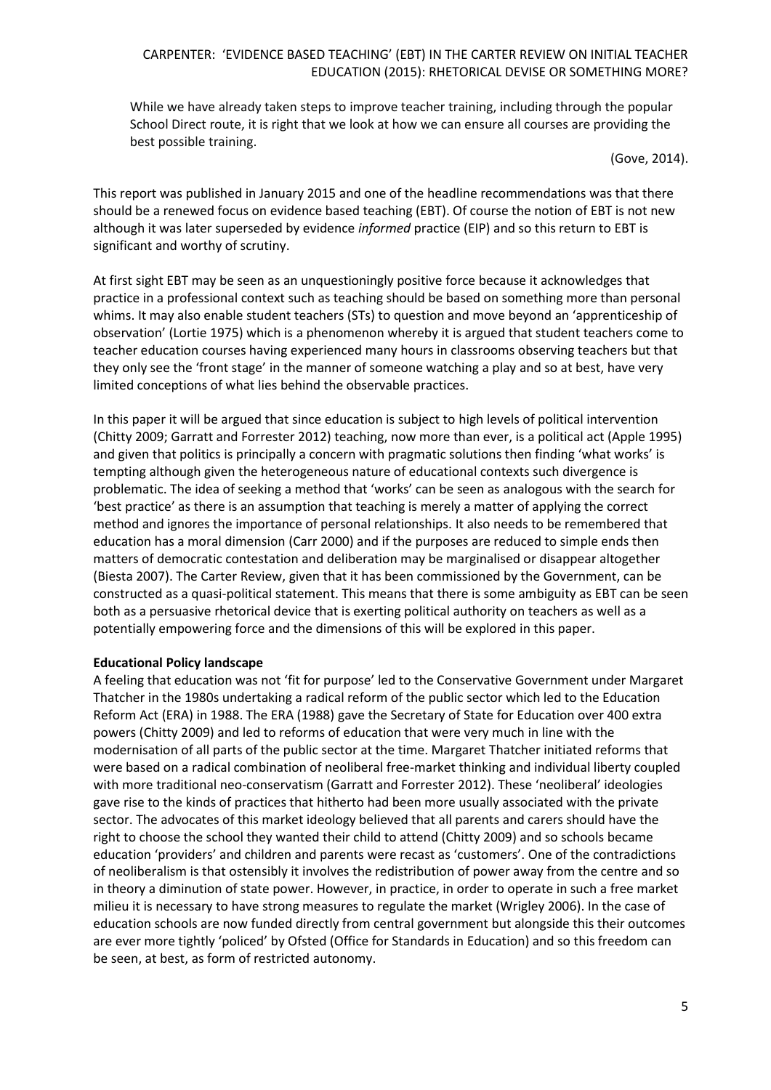While we have already taken steps to improve teacher training, including through the popular School Direct route, it is right that we look at how we can ensure all courses are providing the best possible training.

(Gove, 2014).

This report was published in January 2015 and one of the headline recommendations was that there should be a renewed focus on evidence based teaching (EBT). Of course the notion of EBT is not new although it was later superseded by evidence *informed* practice (EIP) and so this return to EBT is significant and worthy of scrutiny.

At first sight EBT may be seen as an unquestioningly positive force because it acknowledges that practice in a professional context such as teaching should be based on something more than personal whims. It may also enable student teachers (STs) to question and move beyond an 'apprenticeship of observation' (Lortie 1975) which is a phenomenon whereby it is argued that student teachers come to teacher education courses having experienced many hours in classrooms observing teachers but that they only see the 'front stage' in the manner of someone watching a play and so at best, have very limited conceptions of what lies behind the observable practices.

In this paper it will be argued that since education is subject to high levels of political intervention (Chitty 2009; Garratt and Forrester 2012) teaching, now more than ever, is a political act (Apple 1995) and given that politics is principally a concern with pragmatic solutions then finding 'what works' is tempting although given the heterogeneous nature of educational contexts such divergence is problematic. The idea of seeking a method that 'works' can be seen as analogous with the search for 'best practice' as there is an assumption that teaching is merely a matter of applying the correct method and ignores the importance of personal relationships. It also needs to be remembered that education has a moral dimension (Carr 2000) and if the purposes are reduced to simple ends then matters of democratic contestation and deliberation may be marginalised or disappear altogether (Biesta 2007). The Carter Review, given that it has been commissioned by the Government, can be constructed as a quasi-political statement. This means that there is some ambiguity as EBT can be seen both as a persuasive rhetorical device that is exerting political authority on teachers as well as a potentially empowering force and the dimensions of this will be explored in this paper.

#### **Educational Policy landscape**

A feeling that education was not 'fit for purpose' led to the Conservative Government under Margaret Thatcher in the 1980s undertaking a radical reform of the public sector which led to the Education Reform Act (ERA) in 1988. The ERA (1988) gave the Secretary of State for Education over 400 extra powers (Chitty 2009) and led to reforms of education that were very much in line with the modernisation of all parts of the public sector at the time. Margaret Thatcher initiated reforms that were based on a radical combination of neoliberal free-market thinking and individual liberty coupled with more traditional neo-conservatism (Garratt and Forrester 2012). These 'neoliberal' ideologies gave rise to the kinds of practices that hitherto had been more usually associated with the private sector. The advocates of this market ideology believed that all parents and carers should have the right to choose the school they wanted their child to attend (Chitty 2009) and so schools became education 'providers' and children and parents were recast as 'customers'. One of the contradictions of neoliberalism is that ostensibly it involves the redistribution of power away from the centre and so in theory a diminution of state power. However, in practice, in order to operate in such a free market milieu it is necessary to have strong measures to regulate the market (Wrigley 2006). In the case of education schools are now funded directly from central government but alongside this their outcomes are ever more tightly 'policed' by Ofsted (Office for Standards in Education) and so this freedom can be seen, at best, as form of restricted autonomy.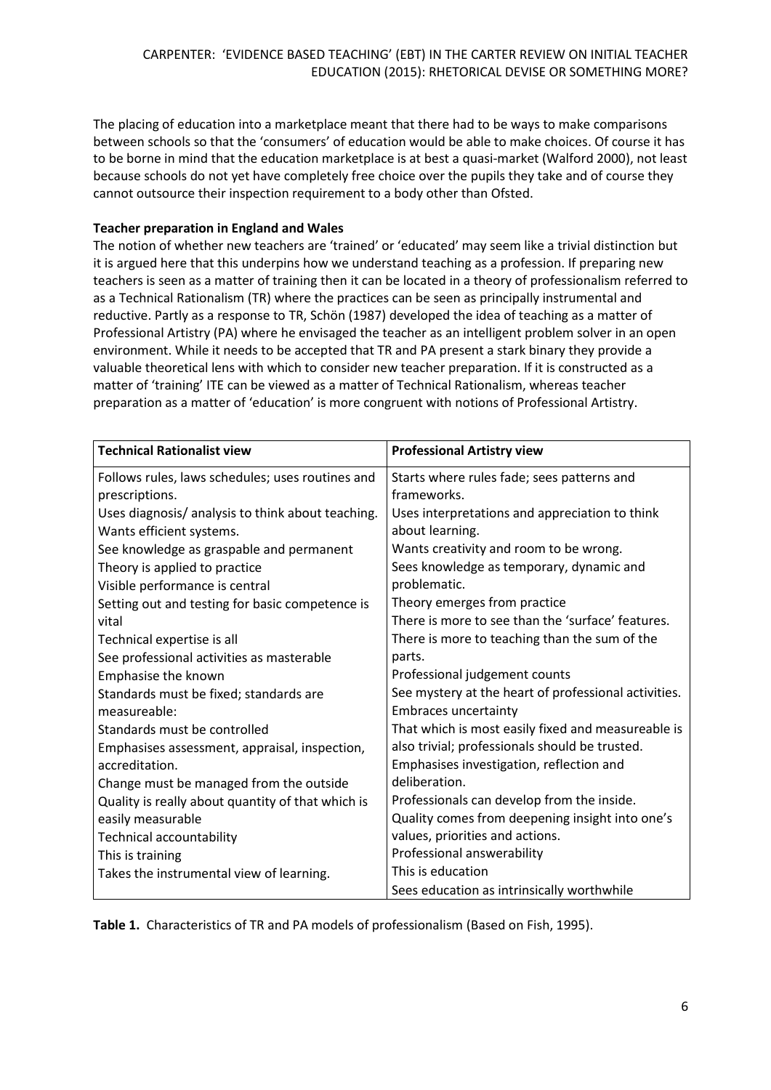The placing of education into a marketplace meant that there had to be ways to make comparisons between schools so that the 'consumers' of education would be able to make choices. Of course it has to be borne in mind that the education marketplace is at best a quasi-market (Walford 2000), not least because schools do not yet have completely free choice over the pupils they take and of course they cannot outsource their inspection requirement to a body other than Ofsted.

## **Teacher preparation in England and Wales**

The notion of whether new teachers are 'trained' or 'educated' may seem like a trivial distinction but it is argued here that this underpins how we understand teaching as a profession. If preparing new teachers is seen as a matter of training then it can be located in a theory of professionalism referred to as a Technical Rationalism (TR) where the practices can be seen as principally instrumental and reductive. Partly as a response to TR, Schön (1987) developed the idea of teaching as a matter of Professional Artistry (PA) where he envisaged the teacher as an intelligent problem solver in an open environment. While it needs to be accepted that TR and PA present a stark binary they provide a valuable theoretical lens with which to consider new teacher preparation. If it is constructed as a matter of 'training' ITE can be viewed as a matter of Technical Rationalism, whereas teacher preparation as a matter of 'education' is more congruent with notions of Professional Artistry.

| <b>Technical Rationalist view</b>                 | <b>Professional Artistry view</b>                    |
|---------------------------------------------------|------------------------------------------------------|
| Follows rules, laws schedules; uses routines and  | Starts where rules fade; sees patterns and           |
| prescriptions.                                    | frameworks.                                          |
| Uses diagnosis/ analysis to think about teaching. | Uses interpretations and appreciation to think       |
| Wants efficient systems.                          | about learning.                                      |
| See knowledge as graspable and permanent          | Wants creativity and room to be wrong.               |
| Theory is applied to practice                     | Sees knowledge as temporary, dynamic and             |
| Visible performance is central                    | problematic.                                         |
| Setting out and testing for basic competence is   | Theory emerges from practice                         |
| vital                                             | There is more to see than the 'surface' features.    |
| Technical expertise is all                        | There is more to teaching than the sum of the        |
| See professional activities as masterable         | parts.                                               |
| Emphasise the known                               | Professional judgement counts                        |
| Standards must be fixed; standards are            | See mystery at the heart of professional activities. |
| measureable:                                      | <b>Embraces uncertainty</b>                          |
| Standards must be controlled                      | That which is most easily fixed and measureable is   |
| Emphasises assessment, appraisal, inspection,     | also trivial; professionals should be trusted.       |
| accreditation.                                    | Emphasises investigation, reflection and             |
| Change must be managed from the outside           | deliberation.                                        |
| Quality is really about quantity of that which is | Professionals can develop from the inside.           |
| easily measurable                                 | Quality comes from deepening insight into one's      |
| Technical accountability                          | values, priorities and actions.                      |
| This is training                                  | Professional answerability                           |
| Takes the instrumental view of learning.          | This is education                                    |
|                                                   | Sees education as intrinsically worthwhile           |

**Table 1.** Characteristics of TR and PA models of professionalism (Based on Fish, 1995).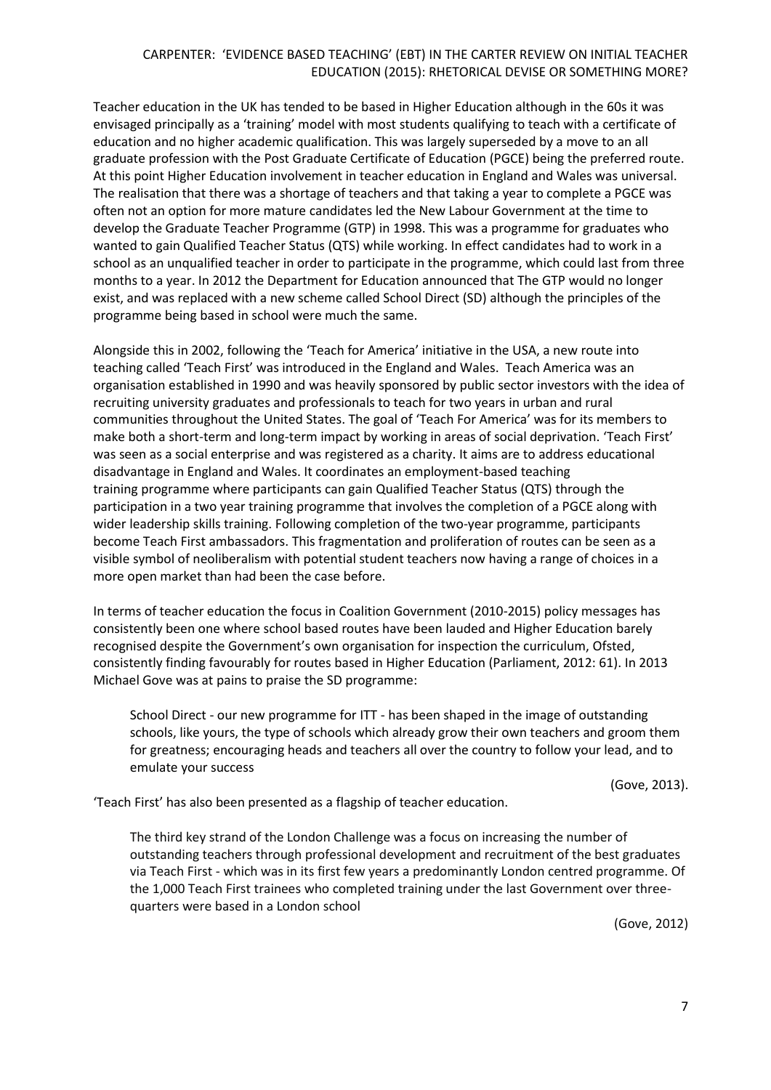Teacher education in the UK has tended to be based in Higher Education although in the 60s it was envisaged principally as a 'training' model with most students qualifying to teach with a certificate of education and no higher academic qualification. This was largely superseded by a move to an all graduate profession with the Post Graduate Certificate of Education (PGCE) being the preferred route. At this point Higher Education involvement in teacher education in England and Wales was universal. The realisation that there was a shortage of teachers and that taking a year to complete a PGCE was often not an option for more mature candidates led the New Labour Government at the time to develop the Graduate Teacher Programme (GTP) in 1998. This was a programme for graduates who wanted to gain Qualified Teacher Status (QTS) while working. In effect candidates had to work in a school as an unqualified teacher in order to participate in the programme, which could last from three months to a year. In 2012 the Department for Education announced that The GTP would no longer exist, and was replaced with a new scheme called School Direct (SD) although the principles of the programme being based in school were much the same.

Alongside this in 2002, following the 'Teach for America' initiative in the USA, a new route into teaching called 'Teach First' was introduced in the England and Wales. Teach America was an organisation established in 1990 and was heavily sponsored by public sector investors with the idea of recruiting university graduates and professionals to teach for two years in urban and rural communities throughout the [United States.](http://en.wikipedia.org/wiki/United_States) The goal of 'Teach For America' was for its members to make both a short-term and long-term impact by working in areas of social deprivation. 'Teach First' was seen as a [social enterprise](http://en.wikipedia.org/wiki/Social_enterprise) and was registered as a charity. It aims are to address educational disadvantage in [England and Wales.](http://en.wikipedia.org/wiki/England_and_Wales) It coordinates an employment-based [teaching](http://en.wikipedia.org/wiki/Teacher_education)  [training](http://en.wikipedia.org/wiki/Teacher_education) programme where participants can gain [Qualified Teacher Status](http://en.wikipedia.org/wiki/Qualified_Teacher_Status) (QTS) through the participation in a two year training programme that involves the completion of a [PGCE](http://en.wikipedia.org/wiki/Postgraduate_Certificate_in_Education) along with wider leadership skills training. Following completion of the two-year programme, participants become Teach First ambassadors. This fragmentation and proliferation of routes can be seen as a visible symbol of neoliberalism with potential student teachers now having a range of choices in a more open market than had been the case before.

In terms of teacher education the focus in Coalition Government (2010-2015) policy messages has consistently been one where school based routes have been lauded and Higher Education barely recognised despite the Government's own organisation for inspection the curriculum, Ofsted, consistently finding favourably for routes based in Higher Education (Parliament, 2012: 61). In 2013 Michael Gove was at pains to praise the SD programme:

School Direct - our new programme for ITT - has been shaped in the image of outstanding schools, like yours, the type of schools which already grow their own teachers and groom them for greatness; encouraging heads and teachers all over the country to follow your lead, and to emulate your success

(Gove, 2013).

'Teach First' has also been presented as a flagship of teacher education.

The third key strand of the London Challenge was a focus on increasing the number of outstanding teachers through professional development and recruitment of the best graduates via Teach First - which was in its first few years a predominantly London centred programme. Of the 1,000 Teach First trainees who completed training under the last Government over threequarters were based in a London school

(Gove, 2012)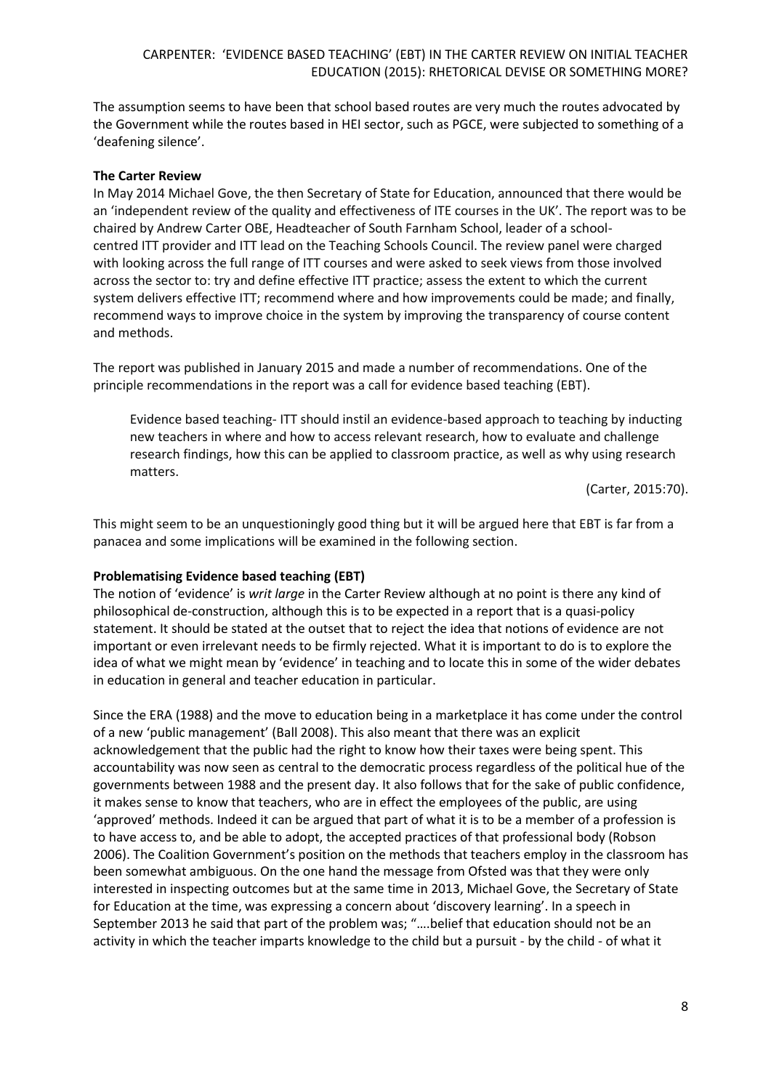The assumption seems to have been that school based routes are very much the routes advocated by the Government while the routes based in HEI sector, such as PGCE, were subjected to something of a 'deafening silence'.

## **The Carter Review**

In May 2014 Michael Gove, the then Secretary of State for Education, announced that there would be an 'independent review of the quality and effectiveness of ITE courses in the UK'. The report was to be chaired by Andrew Carter OBE, Headteacher of South Farnham School, leader of a schoolcentred ITT provider and ITT lead on the Teaching Schools Council. The review panel were charged with looking across the full range of ITT courses and were asked to seek views from those involved across the sector to: try and define effective ITT practice; assess the extent to which the current system delivers effective ITT; recommend where and how improvements could be made; and finally, recommend ways to improve choice in the system by improving the transparency of course content and methods.

The report was published in January 2015 and made a number of recommendations. One of the principle recommendations in the report was a call for evidence based teaching (EBT).

Evidence based teaching- ITT should instil an evidence-based approach to teaching by inducting new teachers in where and how to access relevant research, how to evaluate and challenge research findings, how this can be applied to classroom practice, as well as why using research matters.

(Carter, 2015:70).

This might seem to be an unquestioningly good thing but it will be argued here that EBT is far from a panacea and some implications will be examined in the following section.

# **Problematising Evidence based teaching (EBT)**

The notion of 'evidence' is *writ large* in the Carter Review although at no point is there any kind of philosophical de-construction, although this is to be expected in a report that is a quasi-policy statement. It should be stated at the outset that to reject the idea that notions of evidence are not important or even irrelevant needs to be firmly rejected. What it is important to do is to explore the idea of what we might mean by 'evidence' in teaching and to locate this in some of the wider debates in education in general and teacher education in particular.

Since the ERA (1988) and the move to education being in a marketplace it has come under the control of a new 'public management' (Ball 2008). This also meant that there was an explicit acknowledgement that the public had the right to know how their taxes were being spent. This accountability was now seen as central to the democratic process regardless of the political hue of the governments between 1988 and the present day. It also follows that for the sake of public confidence, it makes sense to know that teachers, who are in effect the employees of the public, are using 'approved' methods. Indeed it can be argued that part of what it is to be a member of a profession is to have access to, and be able to adopt, the accepted practices of that professional body (Robson 2006). The Coalition Government's position on the methods that teachers employ in the classroom has been somewhat ambiguous. On the one hand the message from Ofsted was that they were only interested in inspecting outcomes but at the same time in 2013, Michael Gove, the Secretary of State for Education at the time, was expressing a concern about 'discovery learning'. In a speech in September 2013 he said that part of the problem was; "….belief that education should not be an activity in which the teacher imparts knowledge to the child but a pursuit - by the child - of what it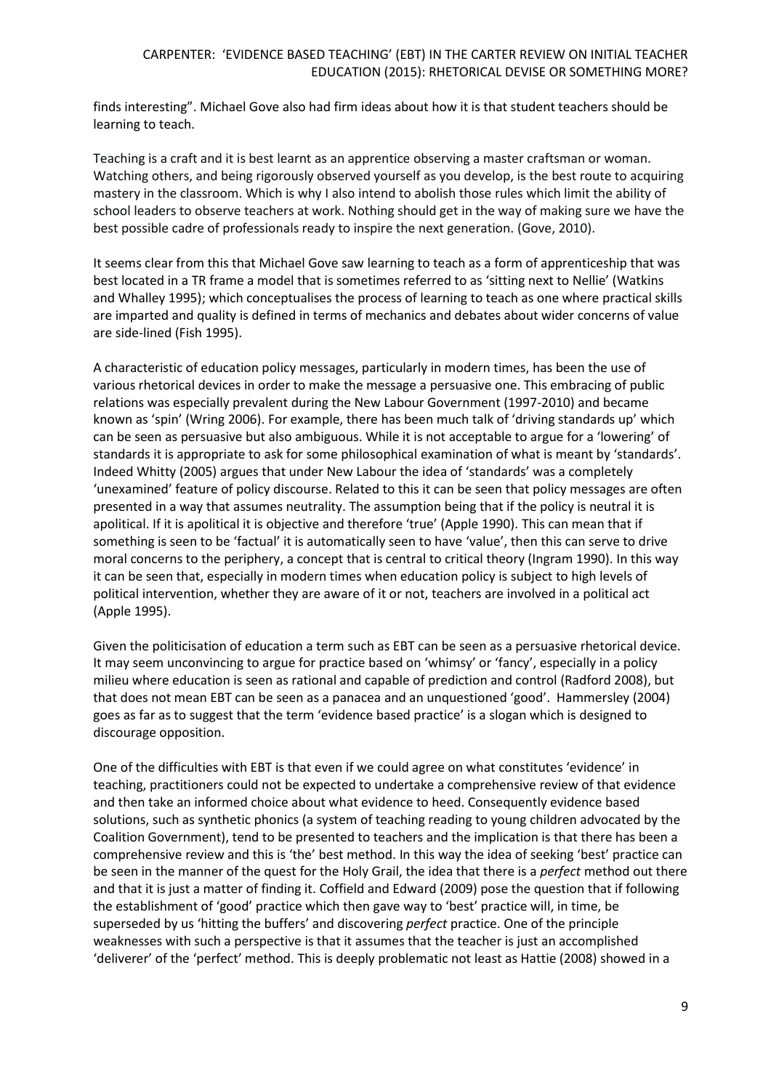finds interesting". Michael Gove also had firm ideas about how it is that student teachers should be learning to teach.

Teaching is a craft and it is best learnt as an apprentice observing a master craftsman or woman. Watching others, and being rigorously observed yourself as you develop, is the best route to acquiring mastery in the classroom. Which is why I also intend to abolish those rules which limit the ability of school leaders to observe teachers at work. Nothing should get in the way of making sure we have the best possible cadre of professionals ready to inspire the next generation. (Gove, 2010).

It seems clear from this that Michael Gove saw learning to teach as a form of apprenticeship that was best located in a TR frame a model that is sometimes referred to as 'sitting next to Nellie' (Watkins and Whalley 1995); which conceptualises the process of learning to teach as one where practical skills are imparted and quality is defined in terms of mechanics and debates about wider concerns of value are side-lined (Fish 1995).

A characteristic of education policy messages, particularly in modern times, has been the use of various rhetorical devices in order to make the message a persuasive one. This embracing of public relations was especially prevalent during the New Labour Government (1997-2010) and became known as 'spin' (Wring 2006). For example, there has been much talk of 'driving standards up' which can be seen as persuasive but also ambiguous. While it is not acceptable to argue for a 'lowering' of standards it is appropriate to ask for some philosophical examination of what is meant by 'standards'. Indeed Whitty (2005) argues that under New Labour the idea of 'standards' was a completely 'unexamined' feature of policy discourse. Related to this it can be seen that policy messages are often presented in a way that assumes neutrality. The assumption being that if the policy is neutral it is apolitical. If it is apolitical it is objective and therefore 'true' (Apple 1990). This can mean that if something is seen to be 'factual' it is automatically seen to have 'value', then this can serve to drive moral concerns to the periphery, a concept that is central to critical theory (Ingram 1990). In this way it can be seen that, especially in modern times when education policy is subject to high levels of political intervention, whether they are aware of it or not, teachers are involved in a political act (Apple 1995).

Given the politicisation of education a term such as EBT can be seen as a persuasive rhetorical device. It may seem unconvincing to argue for practice based on 'whimsy' or 'fancy', especially in a policy milieu where education is seen as rational and capable of prediction and control (Radford 2008), but that does not mean EBT can be seen as a panacea and an unquestioned 'good'. Hammersley (2004) goes as far as to suggest that the term 'evidence based practice' is a slogan which is designed to discourage opposition.

One of the difficulties with EBT is that even if we could agree on what constitutes 'evidence' in teaching, practitioners could not be expected to undertake a comprehensive review of that evidence and then take an informed choice about what evidence to heed. Consequently evidence based solutions, such as synthetic phonics (a system of teaching reading to young children advocated by the Coalition Government), tend to be presented to teachers and the implication is that there has been a comprehensive review and this is 'the' best method. In this way the idea of seeking 'best' practice can be seen in the manner of the quest for the Holy Grail, the idea that there is a *perfect* method out there and that it is just a matter of finding it. Coffield and Edward (2009) pose the question that if following the establishment of 'good' practice which then gave way to 'best' practice will, in time, be superseded by us 'hitting the buffers' and discovering *perfect* practice. One of the principle weaknesses with such a perspective is that it assumes that the teacher is just an accomplished 'deliverer' of the 'perfect' method. This is deeply problematic not least as Hattie (2008) showed in a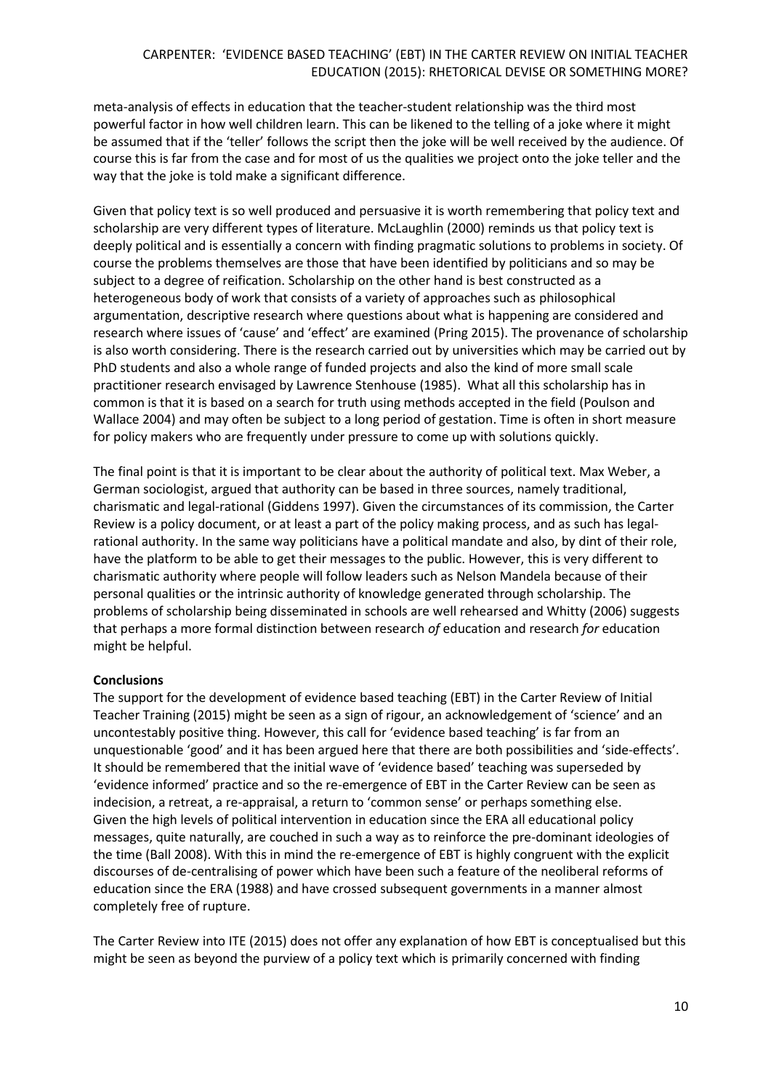meta-analysis of effects in education that the teacher-student relationship was the third most powerful factor in how well children learn. This can be likened to the telling of a joke where it might be assumed that if the 'teller' follows the script then the joke will be well received by the audience. Of course this is far from the case and for most of us the qualities we project onto the joke teller and the way that the joke is told make a significant difference.

Given that policy text is so well produced and persuasive it is worth remembering that policy text and scholarship are very different types of literature. McLaughlin (2000) reminds us that policy text is deeply political and is essentially a concern with finding pragmatic solutions to problems in society. Of course the problems themselves are those that have been identified by politicians and so may be subject to a degree of reification. Scholarship on the other hand is best constructed as a heterogeneous body of work that consists of a variety of approaches such as philosophical argumentation, descriptive research where questions about what is happening are considered and research where issues of 'cause' and 'effect' are examined (Pring 2015). The provenance of scholarship is also worth considering. There is the research carried out by universities which may be carried out by PhD students and also a whole range of funded projects and also the kind of more small scale practitioner research envisaged by Lawrence Stenhouse (1985). What all this scholarship has in common is that it is based on a search for truth using methods accepted in the field (Poulson and Wallace 2004) and may often be subject to a long period of gestation. Time is often in short measure for policy makers who are frequently under pressure to come up with solutions quickly.

The final point is that it is important to be clear about the authority of political text. Max Weber, a German sociologist, argued that authority can be based in three sources, namely traditional, charismatic and legal-rational (Giddens 1997). Given the circumstances of its commission, the Carter Review is a policy document, or at least a part of the policy making process, and as such has legalrational authority. In the same way politicians have a political mandate and also, by dint of their role, have the platform to be able to get their messages to the public. However, this is very different to charismatic authority where people will follow leaders such as Nelson Mandela because of their personal qualities or the intrinsic authority of knowledge generated through scholarship. The problems of scholarship being disseminated in schools are well rehearsed and Whitty (2006) suggests that perhaps a more formal distinction between research *of* education and research *for* education might be helpful.

# **Conclusions**

The support for the development of evidence based teaching (EBT) in the Carter Review of Initial Teacher Training (2015) might be seen as a sign of rigour, an acknowledgement of 'science' and an uncontestably positive thing. However, this call for 'evidence based teaching' is far from an unquestionable 'good' and it has been argued here that there are both possibilities and 'side-effects'. It should be remembered that the initial wave of 'evidence based' teaching was superseded by 'evidence informed' practice and so the re-emergence of EBT in the Carter Review can be seen as indecision, a retreat, a re-appraisal, a return to 'common sense' or perhaps something else. Given the high levels of political intervention in education since the ERA all educational policy messages, quite naturally, are couched in such a way as to reinforce the pre-dominant ideologies of the time (Ball 2008). With this in mind the re-emergence of EBT is highly congruent with the explicit discourses of de-centralising of power which have been such a feature of the neoliberal reforms of education since the ERA (1988) and have crossed subsequent governments in a manner almost completely free of rupture.

The Carter Review into ITE (2015) does not offer any explanation of how EBT is conceptualised but this might be seen as beyond the purview of a policy text which is primarily concerned with finding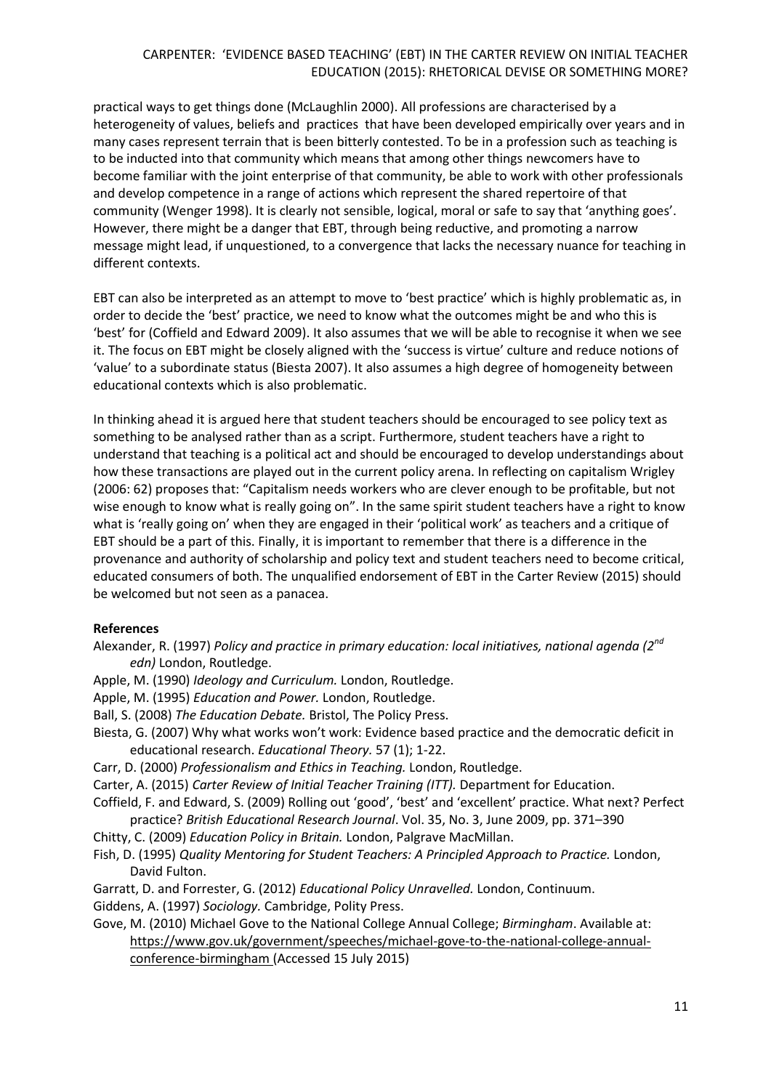practical ways to get things done (McLaughlin 2000). All professions are characterised by a heterogeneity of values, beliefs and practices that have been developed empirically over years and in many cases represent terrain that is been bitterly contested. To be in a profession such as teaching is to be inducted into that community which means that among other things newcomers have to become familiar with the joint enterprise of that community, be able to work with other professionals and develop competence in a range of actions which represent the shared repertoire of that community (Wenger 1998). It is clearly not sensible, logical, moral or safe to say that 'anything goes'. However, there might be a danger that EBT, through being reductive, and promoting a narrow message might lead, if unquestioned, to a convergence that lacks the necessary nuance for teaching in different contexts.

EBT can also be interpreted as an attempt to move to 'best practice' which is highly problematic as, in order to decide the 'best' practice, we need to know what the outcomes might be and who this is 'best' for (Coffield and Edward 2009). It also assumes that we will be able to recognise it when we see it. The focus on EBT might be closely aligned with the 'success is virtue' culture and reduce notions of 'value' to a subordinate status (Biesta 2007). It also assumes a high degree of homogeneity between educational contexts which is also problematic.

In thinking ahead it is argued here that student teachers should be encouraged to see policy text as something to be analysed rather than as a script. Furthermore, student teachers have a right to understand that teaching is a political act and should be encouraged to develop understandings about how these transactions are played out in the current policy arena. In reflecting on capitalism Wrigley (2006: 62) proposes that: "Capitalism needs workers who are clever enough to be profitable, but not wise enough to know what is really going on". In the same spirit student teachers have a right to know what is 'really going on' when they are engaged in their 'political work' as teachers and a critique of EBT should be a part of this. Finally, it is important to remember that there is a difference in the provenance and authority of scholarship and policy text and student teachers need to become critical, educated consumers of both. The unqualified endorsement of EBT in the Carter Review (2015) should be welcomed but not seen as a panacea.

#### **References**

- Alexander, R. (1997) *Policy and practice in primary education: local initiatives, national agenda (2nd edn)* London, Routledge.
- Apple, M. (1990) *Ideology and Curriculum.* London, Routledge.
- Apple, M. (1995) *Education and Power.* London, Routledge.
- Ball, S. (2008) *The Education Debate.* Bristol, The Policy Press.
- Biesta, G. (2007) Why what works won't work: Evidence based practice and the democratic deficit in educational research. *Educational Theory.* 57 (1); 1-22.
- Carr, D. (2000) *Professionalism and Ethics in Teaching.* London, Routledge.
- Carter, A. (2015) *Carter Review of Initial Teacher Training (ITT).* Department for Education.
- Coffield, F. and Edward, S. (2009) Rolling out 'good', 'best' and 'excellent' practice. What next? Perfect practice? *British Educational Research Journal*. Vol. 35, No. 3, June 2009, pp. 371–390
- Chitty, C. (2009) *Education Policy in Britain.* London, Palgrave MacMillan.
- Fish, D. (1995) *Quality Mentoring for Student Teachers: A Principled Approach to Practice.* London, David Fulton.
- Garratt, D. and Forrester, G. (2012) *Educational Policy Unravelled.* London, Continuum.

Giddens, A. (1997) *Sociology.* Cambridge, Polity Press.

Gove, M. (2010) Michael Gove to the National College Annual College; *Birmingham*. Available at: [https://www.gov.uk/government/speeches/michael-gove-to-the-national-college-annual](https://www.gov.uk/government/speeches/michael-gove-to-the-national-college-annual-conference-birmingham)[conference-birmingham](https://www.gov.uk/government/speeches/michael-gove-to-the-national-college-annual-conference-birmingham) (Accessed 15 July 2015)